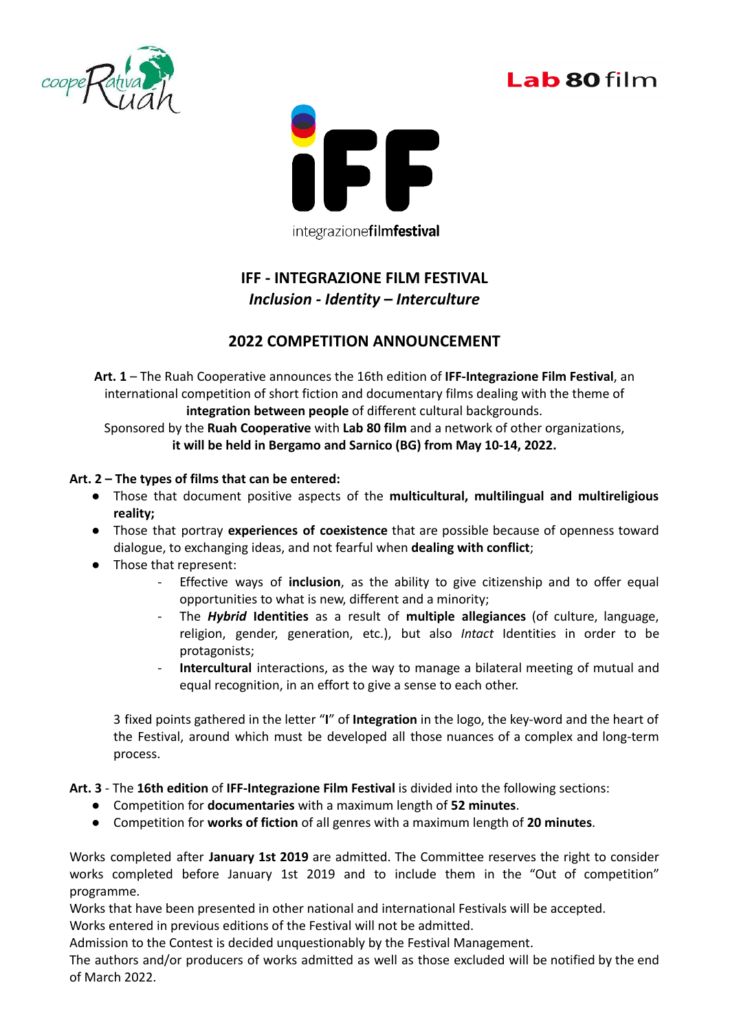





integrazionefilmfestival

## **IFF - INTEGRAZIONE FILM FESTIVAL** *Inclusion - Identity – Interculture*

## **2022 COMPETITION ANNOUNCEMENT**

**Art. 1** – The Ruah Cooperative announces the 16th edition of **IFF-Integrazione Film Festival**, an international competition of short fiction and documentary films dealing with the theme of **integration between people** of different cultural backgrounds.

Sponsored by the **Ruah Cooperative** with **Lab 80 film** and a network of other organizations, **it will be held in Bergamo and Sarnico (BG) from May 10-14, 2022.**

## **Art. 2 – The types of films that can be entered:**

- Those that document positive aspects of the **multicultural, multilingual and multireligious reality;**
- Those that portray **experiences of coexistence** that are possible because of openness toward dialogue, to exchanging ideas, and not fearful when **dealing with conflict**;
- Those that represent:
	- Effective ways of **inclusion**, as the ability to give citizenship and to offer equal opportunities to what is new, different and a minority;
	- The *Hybrid* **Identities** as a result of **multiple allegiances** (of culture, language, religion, gender, generation, etc.), but also *Intact* Identities in order to be protagonists;
	- **Intercultural** interactions, as the way to manage a bilateral meeting of mutual and equal recognition, in an effort to give a sense to each other.

3 fixed points gathered in the letter "**I**" of **Integration** in the logo, the key-word and the heart of the Festival, around which must be developed all those nuances of a complex and long-term process.

**Art. 3** - The **16th edition** of **IFF-Integrazione Film Festival** is divided into the following sections:

- Competition for **documentaries** with a maximum length of **52 minutes**.
- Competition for **works of fiction** of all genres with a maximum length of **20 minutes**.

Works completed after **January 1st 2019** are admitted. The Committee reserves the right to consider works completed before January 1st 2019 and to include them in the "Out of competition" programme.

Works that have been presented in other national and international Festivals will be accepted.

Works entered in previous editions of the Festival will not be admitted.

Admission to the Contest is decided unquestionably by the Festival Management.

The authors and/or producers of works admitted as well as those excluded will be notified by the end of March 2022.